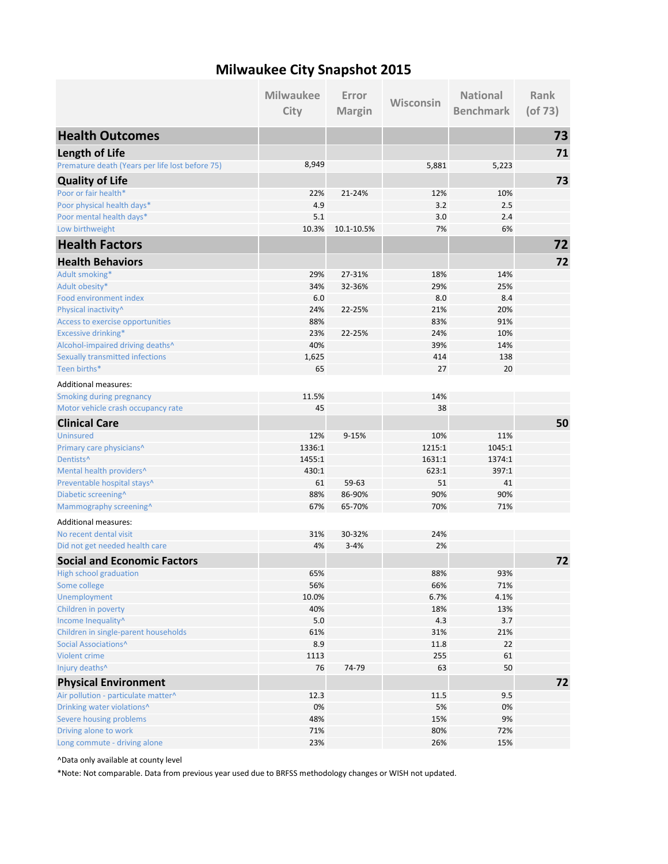## **Milwaukee City Snapshot 2015**

|                                                 | <b>Milwaukee</b> | Error         | Wisconsin | <b>National</b>  | <b>Rank</b>   |
|-------------------------------------------------|------------------|---------------|-----------|------------------|---------------|
|                                                 | City             | <b>Margin</b> |           | <b>Benchmark</b> | $($ of 73 $)$ |
| <b>Health Outcomes</b>                          |                  |               |           |                  | 73            |
| <b>Length of Life</b>                           |                  |               |           |                  | 71            |
| Premature death (Years per life lost before 75) | 8,949            |               | 5,881     | 5,223            |               |
| <b>Quality of Life</b>                          |                  |               |           |                  | 73            |
| Poor or fair health*                            | 22%              | 21-24%        | 12%       | 10%              |               |
| Poor physical health days*                      | 4.9              |               | 3.2       | 2.5              |               |
| Poor mental health days*                        | 5.1              |               | 3.0       | 2.4              |               |
| Low birthweight                                 | 10.3%            | 10.1-10.5%    | 7%        | 6%               |               |
| <b>Health Factors</b>                           |                  |               |           |                  | 72            |
| <b>Health Behaviors</b>                         |                  |               |           |                  | 72            |
| Adult smoking*                                  | 29%              | 27-31%        | 18%       | 14%              |               |
| Adult obesity*                                  | 34%              | 32-36%        | 29%       | 25%              |               |
| Food environment index                          | 6.0              |               | 8.0       | 8.4              |               |
| Physical inactivity^                            | 24%              | 22-25%        | 21%       | 20%              |               |
| Access to exercise opportunities                | 88%              |               | 83%       | 91%              |               |
| <b>Excessive drinking*</b>                      | 23%              | 22-25%        | 24%       | 10%              |               |
| Alcohol-impaired driving deaths^                | 40%              |               | 39%       | 14%              |               |
| <b>Sexually transmitted infections</b>          | 1,625            |               | 414       | 138              |               |
| Teen births*                                    | 65               |               | 27        | 20               |               |
| <b>Additional measures:</b>                     |                  |               |           |                  |               |
| <b>Smoking during pregnancy</b>                 | 11.5%            |               | 14%       |                  |               |
| Motor vehicle crash occupancy rate              | 45               |               | 38        |                  |               |
| <b>Clinical Care</b>                            |                  |               |           |                  | 50            |
| <b>Uninsured</b>                                | 12%              | 9-15%         | 10%       | 11%              |               |
| Primary care physicians^                        | 1336:1           |               | 1215:1    | 1045:1           |               |
| Dentists <sup>^</sup>                           | 1455:1           |               | 1631:1    | 1374:1           |               |
| Mental health providers^                        | 430:1            |               | 623:1     | 397:1            |               |
| Preventable hospital stays^                     | 61               | 59-63         | 51        | 41               |               |
| Diabetic screening^                             | 88%              | 86-90%        | 90%       | 90%              |               |
| Mammography screening^                          | 67%              | 65-70%        | 70%       | 71%              |               |
| <b>Additional measures:</b>                     |                  |               |           |                  |               |
| No recent dental visit                          | 31%              | 30-32%        | 24%       |                  |               |
| Did not get needed health care                  | 4%               | $3 - 4%$      | 2%        |                  |               |
| <b>Social and Economic Factors</b>              |                  |               |           |                  | 72            |
| <b>High school graduation</b>                   | 65%              |               | 88%       | 93%              |               |
| Some college                                    | 56%              |               | 66%       | 71%              |               |
| Unemployment                                    | 10.0%            |               | 6.7%      | 4.1%             |               |
| Children in poverty                             | 40%              |               | 18%       | 13%              |               |
| Income Inequality^                              | 5.0              |               | 4.3       | 3.7              |               |
| Children in single-parent households            | 61%              |               | 31%       | 21%              |               |
| Social Associations^                            | 8.9              |               | 11.8      | 22               |               |
| Violent crime                                   | 1113             |               | 255       | 61               |               |
| Injury deaths^                                  | 76               | 74-79         | 63        | 50               |               |
| <b>Physical Environment</b>                     |                  |               |           |                  | 72            |
| Air pollution - particulate matter^             | 12.3             |               | 11.5      | 9.5              |               |
| Drinking water violations^                      | 0%               |               | 5%        | 0%               |               |
| Severe housing problems                         | 48%              |               | 15%       | 9%               |               |
| Driving alone to work                           | 71%              |               | 80%       | 72%              |               |
| Long commute - driving alone                    | 23%              |               | 26%       | 15%              |               |

^Data only available at county level

\*Note: Not comparable. Data from previous year used due to BRFSS methodology changes or WISH not updated.